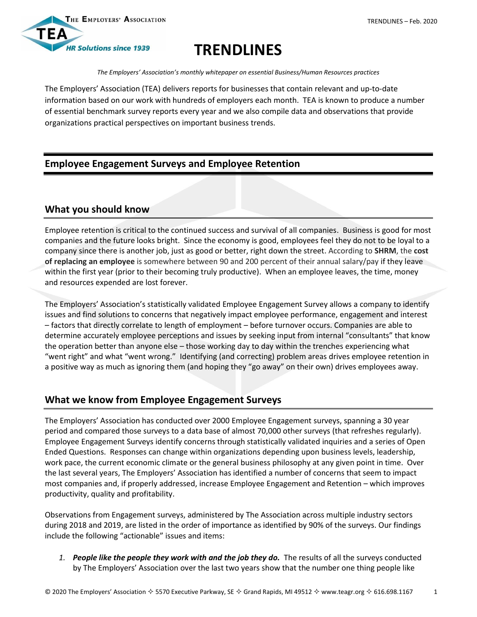



# **TRENDLINES**

*The Employers' Association's monthly whitepaper on essential Business/Human Resources practices*

The Employers' Association (TEA) delivers reports for businesses that contain relevant and up-to-date information based on our work with hundreds of employers each month. TEA is known to produce a number of essential benchmark survey reports every year and we also compile data and observations that provide organizations practical perspectives on important business trends.

## **Employee Engagement Surveys and Employee Retention**

### **What you should know**

Employee retention is critical to the continued success and survival of all companies. Business is good for most companies and the future looks bright. Since the economy is good, employees feel they do not to be loyal to a company since there is another job, just as good or better, right down the street. According to **SHRM**, the **cost of replacing an employee** is somewhere between 90 and 200 percent of their annual salary/pay if they leave within the first year (prior to their becoming truly productive). When an employee leaves, the time, money and resources expended are lost forever.

The Employers' Association's statistically validated Employee Engagement Survey allows a company to identify issues and find solutions to concerns that negatively impact employee performance, engagement and interest – factors that directly correlate to length of employment – before turnover occurs. Companies are able to determine accurately employee perceptions and issues by seeking input from internal "consultants" that know the operation better than anyone else – those working day to day within the trenches experiencing what "went right" and what "went wrong." Identifying (and correcting) problem areas drives employee retention in a positive way as much as ignoring them (and hoping they "go away" on their own) drives employees away.

## **What we know from Employee Engagement Surveys**

The Employers' Association has conducted over 2000 Employee Engagement surveys, spanning a 30 year period and compared those surveys to a data base of almost 70,000 other surveys (that refreshes regularly). Employee Engagement Surveys identify concerns through statistically validated inquiries and a series of Open Ended Questions. Responses can change within organizations depending upon business levels, leadership, work pace, the current economic climate or the general business philosophy at any given point in time. Over the last several years, The Employers' Association has identified a number of concerns that seem to impact most companies and, if properly addressed, increase Employee Engagement and Retention – which improves productivity, quality and profitability.

Observations from Engagement surveys, administered by The Association across multiple industry sectors during 2018 and 2019, are listed in the order of importance as identified by 90% of the surveys. Our findings include the following "actionable" issues and items:

*1. People like the people they work with and the job they do.* The results of all the surveys conducted by The Employers' Association over the last two years show that the number one thing people like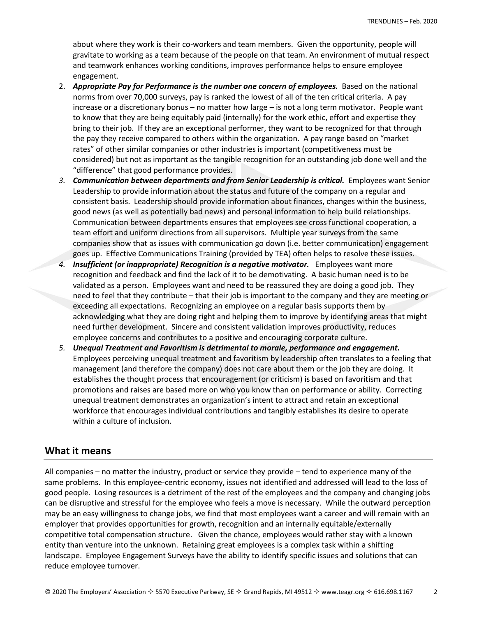about where they work is their co-workers and team members. Given the opportunity, people will gravitate to working as a team because of the people on that team. An environment of mutual respect and teamwork enhances working conditions, improves performance helps to ensure employee engagement.

- 2. *Appropriate Pay for Performance is the number one concern of employees.* Based on the national norms from over 70,000 surveys, pay is ranked the lowest of all of the ten critical criteria. A pay increase or a discretionary bonus – no matter how large – is not a long term motivator. People want to know that they are being equitably paid (internally) for the work ethic, effort and expertise they bring to their job. If they are an exceptional performer, they want to be recognized for that through the pay they receive compared to others within the organization. A pay range based on "market rates" of other similar companies or other industries is important (competitiveness must be considered) but not as important as the tangible recognition for an outstanding job done well and the "difference" that good performance provides.
- *3. Communication between departments and from Senior Leadership is critical.*Employees want Senior Leadership to provide information about the status and future of the company on a regular and consistent basis. Leadership should provide information about finances, changes within the business, good news (as well as potentially bad news) and personal information to help build relationships. Communication between departments ensures that employees see cross functional cooperation, a team effort and uniform directions from all supervisors. Multiple year surveys from the same companies show that as issues with communication go down (i.e. better communication) engagement goes up. Effective Communications Training (provided by TEA) often helps to resolve these issues.
- *4. Insufficient (or inappropriate) Recognition is a negative motivator.* Employees want more recognition and feedback and find the lack of it to be demotivating. A basic human need is to be validated as a person. Employees want and need to be reassured they are doing a good job. They need to feel that they contribute – that their job is important to the company and they are meeting or exceeding all expectations. Recognizing an employee on a regular basis supports them by acknowledging what they are doing right and helping them to improve by identifying areas that might need further development. Sincere and consistent validation improves productivity, reduces employee concerns and contributes to a positive and encouraging corporate culture.
- *5. Unequal Treatment and Favoritism is detrimental to morale, performance and engagement.* Employees perceiving unequal treatment and favoritism by leadership often translates to a feeling that management (and therefore the company) does not care about them or the job they are doing. It establishes the thought process that encouragement (or criticism) is based on favoritism and that promotions and raises are based more on who you know than on performance or ability. Correcting unequal treatment demonstrates an organization's intent to attract and retain an exceptional workforce that encourages individual contributions and tangibly establishes its desire to operate within a culture of inclusion.

#### **What it means**

All companies – no matter the industry, product or service they provide – tend to experience many of the same problems. In this employee-centric economy, issues not identified and addressed will lead to the loss of good people. Losing resources is a detriment of the rest of the employees and the company and changing jobs can be disruptive and stressful for the employee who feels a move is necessary. While the outward perception may be an easy willingness to change jobs, we find that most employees want a career and will remain with an employer that provides opportunities for growth, recognition and an internally equitable/externally competitive total compensation structure. Given the chance, employees would rather stay with a known entity than venture into the unknown. Retaining great employees is a complex task within a shifting landscape. Employee Engagement Surveys have the ability to identify specific issues and solutions that can reduce employee turnover.